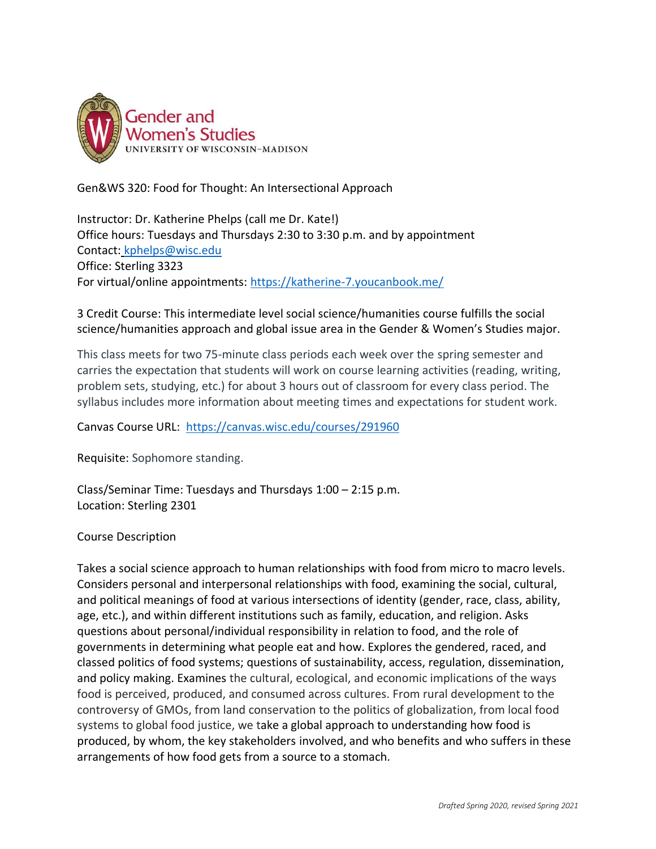

Gen&WS 320: Food for Thought: An Intersectional Approach

Instructor: Dr. Katherine Phelps (call me Dr. Kate!) Office hours: Tuesdays and Thursdays 2:30 to 3:30 p.m. and by appointment Contact: [kphelps@wisc.edu](mailto:kphelps@wisc.edu) Office: Sterling 3323 For virtual/online appointments:<https://katherine-7.youcanbook.me/>

3 Credit Course: This intermediate level social science/humanities course fulfills the social science/humanities approach and global issue area in the Gender & Women's Studies major.

This class meets for two 75-minute class periods each week over the spring semester and carries the expectation that students will work on course learning activities (reading, writing, problem sets, studying, etc.) for about 3 hours out of classroom for every class period. The syllabus includes more information about meeting times and expectations for student work.

Canvas Course URL: <https://canvas.wisc.edu/courses/291960>

Requisite: Sophomore standing.

Class/Seminar Time: Tuesdays and Thursdays 1:00 – 2:15 p.m. Location: Sterling 2301

Course Description

Takes a social science approach to human relationships with food from micro to macro levels. Considers personal and interpersonal relationships with food, examining the social, cultural, and political meanings of food at various intersections of identity (gender, race, class, ability, age, etc.), and within different institutions such as family, education, and religion. Asks questions about personal/individual responsibility in relation to food, and the role of governments in determining what people eat and how. Explores the gendered, raced, and classed politics of food systems; questions of sustainability, access, regulation, dissemination, and policy making. Examines the cultural, ecological, and economic implications of the ways food is perceived, produced, and consumed across cultures. From rural development to the controversy of GMOs, from land conservation to the politics of globalization, from local food systems to global food justice, we take a global approach to understanding how food is produced, by whom, the key stakeholders involved, and who benefits and who suffers in these arrangements of how food gets from a source to a stomach.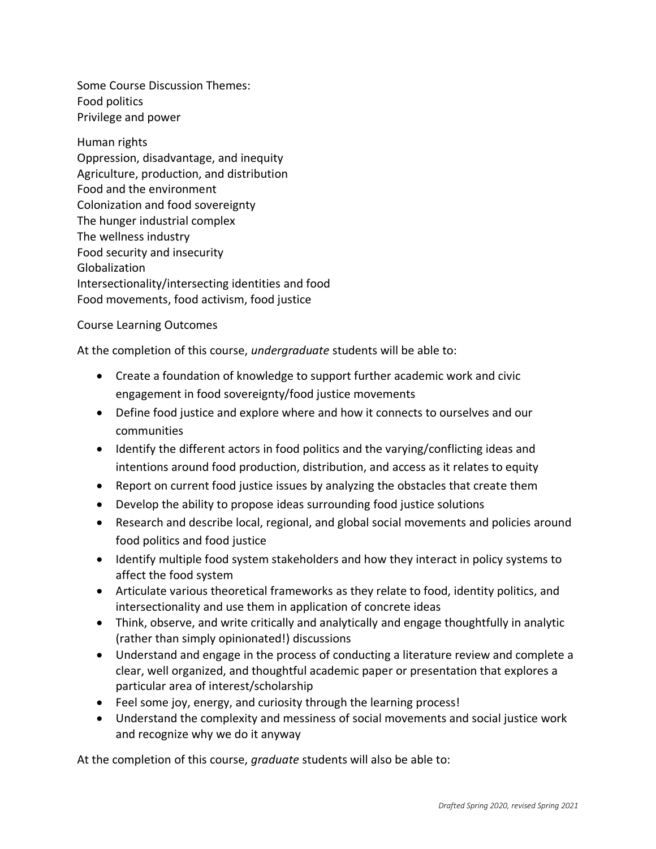Some Course Discussion Themes: Food politics Privilege and power

Human rights Oppression, disadvantage, and inequity Agriculture, production, and distribution Food and the environment Colonization and food sovereignty The hunger industrial complex The wellness industry Food security and insecurity Globalization Intersectionality/intersecting identities and food Food movements, food activism, food justice

Course Learning Outcomes

At the completion of this course, *undergraduate* students will be able to:

- Create a foundation of knowledge to support further academic work and civic engagement in food sovereignty/food justice movements
- Define food justice and explore where and how it connects to ourselves and our communities
- Identify the different actors in food politics and the varying/conflicting ideas and intentions around food production, distribution, and access as it relates to equity
- Report on current food justice issues by analyzing the obstacles that create them
- Develop the ability to propose ideas surrounding food justice solutions
- Research and describe local, regional, and global social movements and policies around food politics and food justice
- Identify multiple food system stakeholders and how they interact in policy systems to affect the food system
- Articulate various theoretical frameworks as they relate to food, identity politics, and intersectionality and use them in application of concrete ideas
- Think, observe, and write critically and analytically and engage thoughtfully in analytic (rather than simply opinionated!) discussions
- Understand and engage in the process of conducting a literature review and complete a clear, well organized, and thoughtful academic paper or presentation that explores a particular area of interest/scholarship
- Feel some joy, energy, and curiosity through the learning process!
- Understand the complexity and messiness of social movements and social justice work and recognize why we do it anyway

At the completion of this course, *graduate* students will also be able to: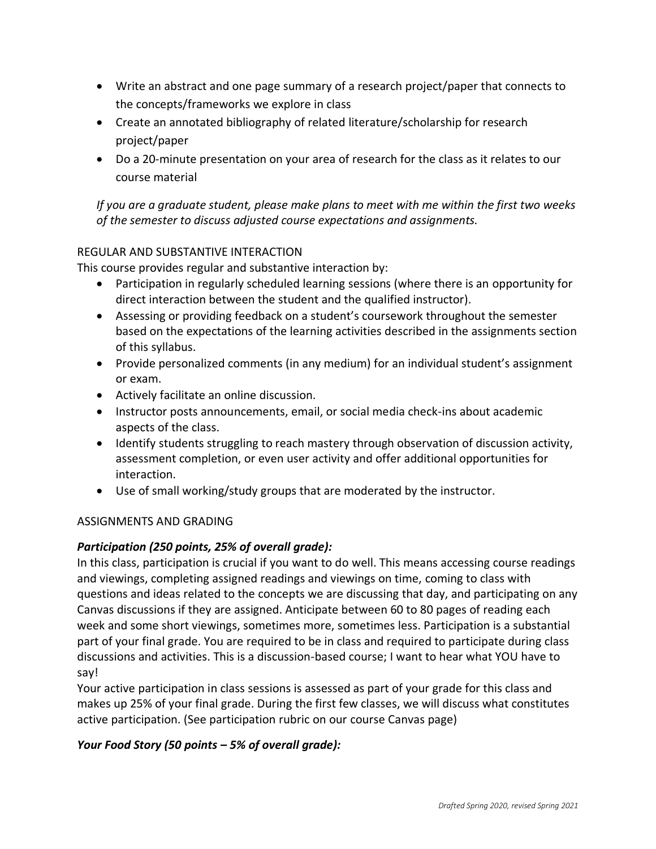- Write an abstract and one page summary of a research project/paper that connects to the concepts/frameworks we explore in class
- Create an annotated bibliography of related literature/scholarship for research project/paper
- Do a 20-minute presentation on your area of research for the class as it relates to our course material

*If you are a graduate student, please make plans to meet with me within the first two weeks of the semester to discuss adjusted course expectations and assignments.*

## REGULAR AND SUBSTANTIVE INTERACTION

This course provides regular and substantive interaction by:

- Participation in regularly scheduled learning sessions (where there is an opportunity for direct interaction between the student and the qualified instructor).
- Assessing or providing feedback on a student's coursework throughout the semester based on the expectations of the learning activities described in the assignments section of this syllabus.
- Provide personalized comments (in any medium) for an individual student's assignment or exam.
- Actively facilitate an online discussion.
- Instructor posts announcements, email, or social media check-ins about academic aspects of the class.
- Identify students struggling to reach mastery through observation of discussion activity, assessment completion, or even user activity and offer additional opportunities for interaction.
- Use of small working/study groups that are moderated by the instructor.

## ASSIGNMENTS AND GRADING

# *Participation (250 points, 25% of overall grade):*

In this class, participation is crucial if you want to do well. This means accessing course readings and viewings, completing assigned readings and viewings on time, coming to class with questions and ideas related to the concepts we are discussing that day, and participating on any Canvas discussions if they are assigned. Anticipate between 60 to 80 pages of reading each week and some short viewings, sometimes more, sometimes less. Participation is a substantial part of your final grade. You are required to be in class and required to participate during class discussions and activities. This is a discussion-based course; I want to hear what YOU have to say!

Your active participation in class sessions is assessed as part of your grade for this class and makes up 25% of your final grade. During the first few classes, we will discuss what constitutes active participation. (See participation rubric on our course Canvas page)

## *Your Food Story (50 points – 5% of overall grade):*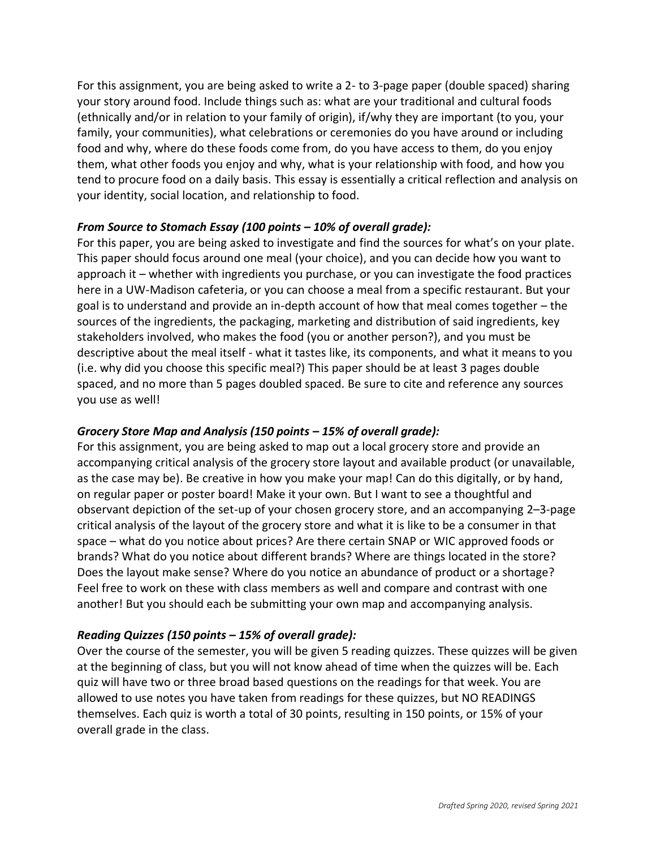For this assignment, you are being asked to write a 2- to 3-page paper (double spaced) sharing your story around food. Include things such as: what are your traditional and cultural foods (ethnically and/or in relation to your family of origin), if/why they are important (to you, your family, your communities), what celebrations or ceremonies do you have around or including food and why, where do these foods come from, do you have access to them, do you enjoy them, what other foods you enjoy and why, what is your relationship with food, and how you tend to procure food on a daily basis. This essay is essentially a critical reflection and analysis on your identity, social location, and relationship to food.

### *From Source to Stomach Essay (100 points – 10% of overall grade):*

For this paper, you are being asked to investigate and find the sources for what's on your plate. This paper should focus around one meal (your choice), and you can decide how you want to approach it – whether with ingredients you purchase, or you can investigate the food practices here in a UW-Madison cafeteria, or you can choose a meal from a specific restaurant. But your goal is to understand and provide an in-depth account of how that meal comes together – the sources of the ingredients, the packaging, marketing and distribution of said ingredients, key stakeholders involved, who makes the food (you or another person?), and you must be descriptive about the meal itself - what it tastes like, its components, and what it means to you (i.e. why did you choose this specific meal?) This paper should be at least 3 pages double spaced, and no more than 5 pages doubled spaced. Be sure to cite and reference any sources you use as well!

## *Grocery Store Map and Analysis (150 points – 15% of overall grade):*

For this assignment, you are being asked to map out a local grocery store and provide an accompanying critical analysis of the grocery store layout and available product (or unavailable, as the case may be). Be creative in how you make your map! Can do this digitally, or by hand, on regular paper or poster board! Make it your own. But I want to see a thoughtful and observant depiction of the set-up of your chosen grocery store, and an accompanying 2–3-page critical analysis of the layout of the grocery store and what it is like to be a consumer in that space – what do you notice about prices? Are there certain SNAP or WIC approved foods or brands? What do you notice about different brands? Where are things located in the store? Does the layout make sense? Where do you notice an abundance of product or a shortage? Feel free to work on these with class members as well and compare and contrast with one another! But you should each be submitting your own map and accompanying analysis.

## *Reading Quizzes (150 points – 15% of overall grade):*

Over the course of the semester, you will be given 5 reading quizzes. These quizzes will be given at the beginning of class, but you will not know ahead of time when the quizzes will be. Each quiz will have two or three broad based questions on the readings for that week. You are allowed to use notes you have taken from readings for these quizzes, but NO READINGS themselves. Each quiz is worth a total of 30 points, resulting in 150 points, or 15% of your overall grade in the class.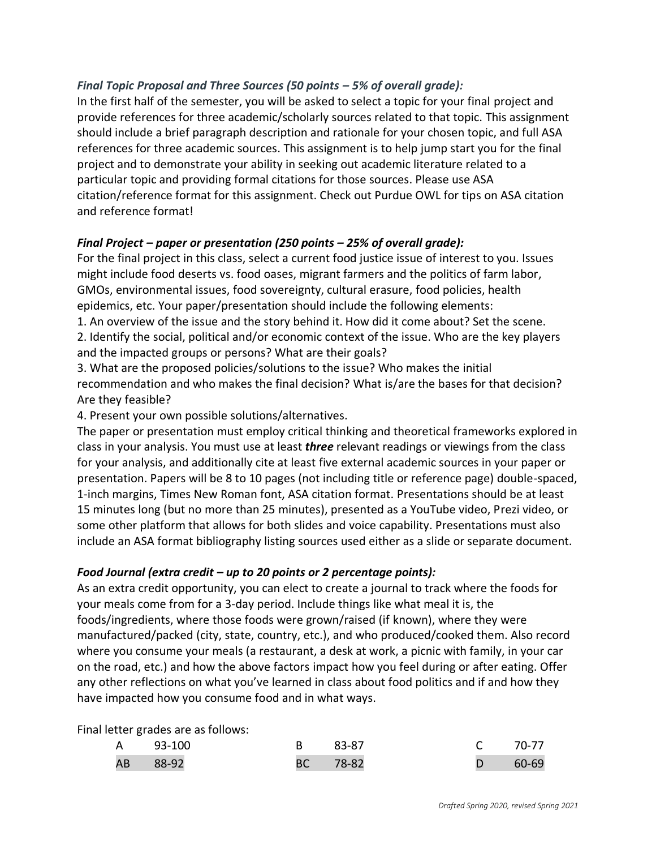## *Final Topic Proposal and Three Sources (50 points – 5% of overall grade):*

In the first half of the semester, you will be asked to select a topic for your final project and provide references for three academic/scholarly sources related to that topic. This assignment should include a brief paragraph description and rationale for your chosen topic, and full ASA references for three academic sources. This assignment is to help jump start you for the final project and to demonstrate your ability in seeking out academic literature related to a particular topic and providing formal citations for those sources. Please use ASA citation/reference format for this assignment. Check out Purdue OWL for tips on ASA citation and reference format!

### *Final Project – paper or presentation (250 points – 25% of overall grade):*

For the final project in this class, select a current food justice issue of interest to you. Issues might include food deserts vs. food oases, migrant farmers and the politics of farm labor, GMOs, environmental issues, food sovereignty, cultural erasure, food policies, health epidemics, etc. Your paper/presentation should include the following elements:

1. An overview of the issue and the story behind it. How did it come about? Set the scene. 2. Identify the social, political and/or economic context of the issue. Who are the key players and the impacted groups or persons? What are their goals?

3. What are the proposed policies/solutions to the issue? Who makes the initial recommendation and who makes the final decision? What is/are the bases for that decision? Are they feasible?

4. Present your own possible solutions/alternatives.

The paper or presentation must employ critical thinking and theoretical frameworks explored in class in your analysis. You must use at least *three* relevant readings or viewings from the class for your analysis, and additionally cite at least five external academic sources in your paper or presentation. Papers will be 8 to 10 pages (not including title or reference page) double-spaced, 1-inch margins, Times New Roman font, ASA citation format. Presentations should be at least 15 minutes long (but no more than 25 minutes), presented as a YouTube video, Prezi video, or some other platform that allows for both slides and voice capability. Presentations must also include an ASA format bibliography listing sources used either as a slide or separate document.

### *Food Journal (extra credit – up to 20 points or 2 percentage points):*

As an extra credit opportunity, you can elect to create a journal to track where the foods for your meals come from for a 3-day period. Include things like what meal it is, the foods/ingredients, where those foods were grown/raised (if known), where they were manufactured/packed (city, state, country, etc.), and who produced/cooked them. Also record where you consume your meals (a restaurant, a desk at work, a picnic with family, in your car on the road, etc.) and how the above factors impact how you feel during or after eating. Offer any other reflections on what you've learned in class about food politics and if and how they have impacted how you consume food and in what ways.

Final letter grades are as follows:

| A 93-100 | B 83-87  | C 70-77 |
|----------|----------|---------|
| AB 88-92 | BC 78-82 | D 60-69 |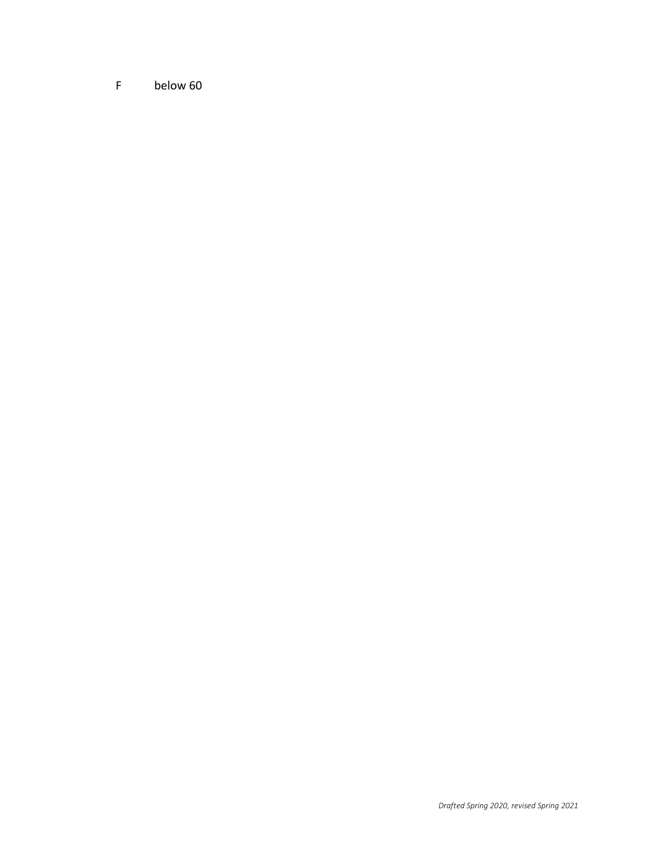F below 60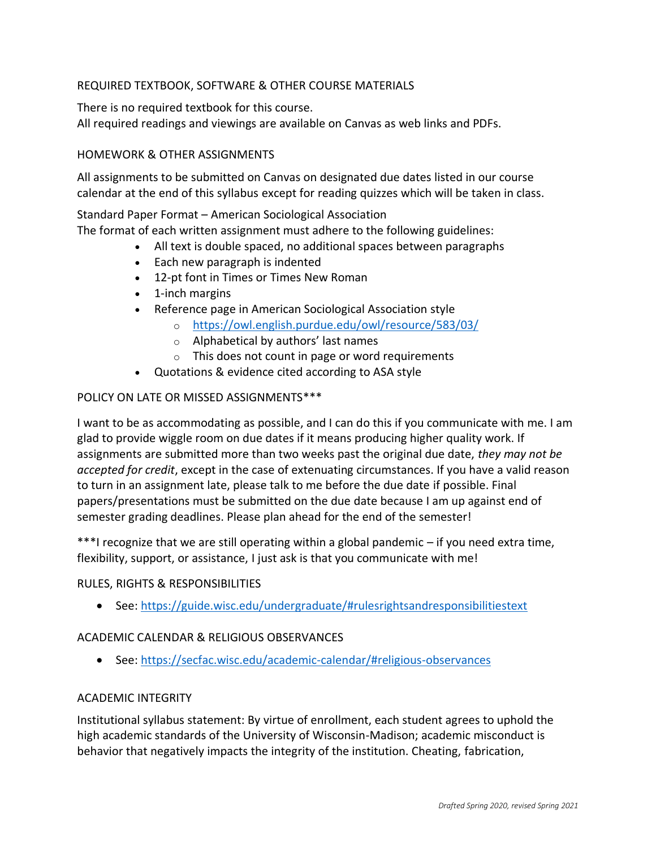## REQUIRED TEXTBOOK, SOFTWARE & OTHER COURSE MATERIALS

There is no required textbook for this course.

All required readings and viewings are available on Canvas as web links and PDFs.

### HOMEWORK & OTHER ASSIGNMENTS

All assignments to be submitted on Canvas on designated due dates listed in our course calendar at the end of this syllabus except for reading quizzes which will be taken in class.

Standard Paper Format – American Sociological Association

The format of each written assignment must adhere to the following guidelines:

- All text is double spaced, no additional spaces between paragraphs
- Each new paragraph is indented
- 12-pt font in Times or Times New Roman
- 1-inch margins
- Reference page in American Sociological Association style
	- o <https://owl.english.purdue.edu/owl/resource/583/03/>
	- o Alphabetical by authors' last names
	- o This does not count in page or word requirements
- Quotations & evidence cited according to ASA style

### POLICY ON LATE OR MISSED ASSIGNMENTS\*\*\*

I want to be as accommodating as possible, and I can do this if you communicate with me. I am glad to provide wiggle room on due dates if it means producing higher quality work. If assignments are submitted more than two weeks past the original due date, *they may not be accepted for credit*, except in the case of extenuating circumstances. If you have a valid reason to turn in an assignment late, please talk to me before the due date if possible. Final papers/presentations must be submitted on the due date because I am up against end of semester grading deadlines. Please plan ahead for the end of the semester!

\*\*\*I recognize that we are still operating within a global pandemic – if you need extra time, flexibility, support, or assistance, I just ask is that you communicate with me!

### RULES, RIGHTS & RESPONSIBILITIES

• See:<https://guide.wisc.edu/undergraduate/#rulesrightsandresponsibilitiestext>

### ACADEMIC CALENDAR & RELIGIOUS OBSERVANCES

• See:<https://secfac.wisc.edu/academic-calendar/#religious-observances>

### ACADEMIC INTEGRITY

Institutional syllabus statement: By virtue of enrollment, each student agrees to uphold the high academic standards of the University of Wisconsin-Madison; academic misconduct is behavior that negatively impacts the integrity of the institution. Cheating, fabrication,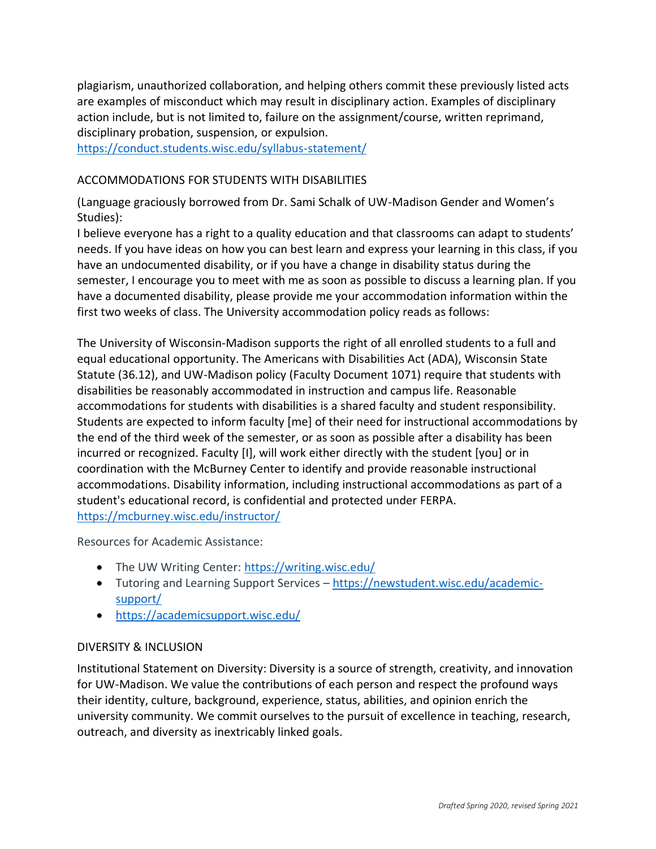plagiarism, unauthorized collaboration, and helping others commit these previously listed acts are examples of misconduct which may result in disciplinary action. Examples of disciplinary action include, but is not limited to, failure on the assignment/course, written reprimand, disciplinary probation, suspension, or expulsion.

<https://conduct.students.wisc.edu/syllabus-statement/>

### ACCOMMODATIONS FOR STUDENTS WITH DISABILITIES

(Language graciously borrowed from Dr. Sami Schalk of UW-Madison Gender and Women's Studies):

I believe everyone has a right to a quality education and that classrooms can adapt to students' needs. If you have ideas on how you can best learn and express your learning in this class, if you have an undocumented disability, or if you have a change in disability status during the semester, I encourage you to meet with me as soon as possible to discuss a learning plan. If you have a documented disability, please provide me your accommodation information within the first two weeks of class. The University accommodation policy reads as follows:

The University of Wisconsin-Madison supports the right of all enrolled students to a full and equal educational opportunity. The Americans with Disabilities Act (ADA), Wisconsin State Statute (36.12), and UW-Madison policy (Faculty Document 1071) require that students with disabilities be reasonably accommodated in instruction and campus life. Reasonable accommodations for students with disabilities is a shared faculty and student responsibility. Students are expected to inform faculty [me] of their need for instructional accommodations by the end of the third week of the semester, or as soon as possible after a disability has been incurred or recognized. Faculty [I], will work either directly with the student [you] or in coordination with the McBurney Center to identify and provide reasonable instructional accommodations. Disability information, including instructional accommodations as part of a student's educational record, is confidential and protected under FERPA. <https://mcburney.wisc.edu/instructor/>

Resources for Academic Assistance:

- The UW Writing Center: <https://writing.wisc.edu/>
- Tutoring and Learning Support Services [https://newstudent.wisc.edu/academic](https://newstudent.wisc.edu/academic-support/)[support/](https://newstudent.wisc.edu/academic-support/)
- <https://academicsupport.wisc.edu/>

### DIVERSITY & INCLUSION

Institutional Statement on Diversity: Diversity is a source of strength, creativity, and innovation for UW-Madison. We value the contributions of each person and respect the profound ways their identity, culture, background, experience, status, abilities, and opinion enrich the university community. We commit ourselves to the pursuit of excellence in teaching, research, outreach, and diversity as inextricably linked goals.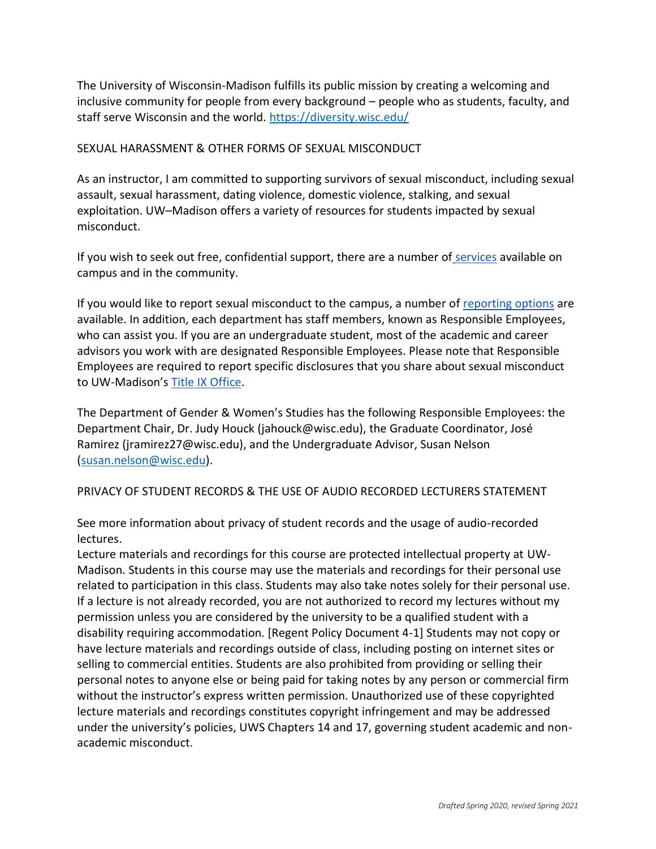The University of Wisconsin-Madison fulfills its public mission by creating a welcoming and inclusive community for people from every background – people who as students, faculty, and staff serve Wisconsin and the world. <https://diversity.wisc.edu/>

### SEXUAL HARASSMENT & OTHER FORMS OF SEXUAL MISCONDUCT

As an instructor, I am committed to supporting survivors of sexual misconduct, including sexual assault, sexual harassment, dating violence, domestic violence, stalking, and sexual exploitation. UW–Madison offers a variety of resources for students impacted by sexual misconduct.

If you wish to seek out free, confidential support, there are a number of [services](https://www.uhs.wisc.edu/survivor-services/campus-community-resources-for-victims/) available on campus and in the community.

If you would like to report sexual misconduct to the campus, a number of [reporting options](https://compliance.wisc.edu/titleix/student-information/) are available. In addition, each department has staff members, known as Responsible Employees, who can assist you. If you are an undergraduate student, most of the academic and career advisors you work with are designated Responsible Employees. Please note that Responsible Employees are required to report specific disclosures that you share about sexual misconduct to UW-Madison's [Title IX Office.](https://compliance.wisc.edu/titleix/)

The Department of Gender & Women's Studies has the following Responsible Employees: the Department Chair, Dr. Judy Houck (jahouck@wisc.edu), the Graduate Coordinator, José Ramirez (jramirez27@wisc.edu), and the Undergraduate Advisor, Susan Nelson [\(susan.nelson@wisc.edu\)](mailto:susan.nelson@wisc.edu).

## PRIVACY OF STUDENT RECORDS & THE USE OF AUDIO RECORDED LECTURERS STATEMENT

See more information about [privacy of student records and the usage of audio-recorded](https://instructionalcontinuity.wisc.edu/2020/04/03/privacy-of-student-records-and-the-usage-of-audio-recorded-lectures/)  [lectures.](https://instructionalcontinuity.wisc.edu/2020/04/03/privacy-of-student-records-and-the-usage-of-audio-recorded-lectures/)

Lecture materials and recordings for this course are protected intellectual property at UW-Madison. Students in this course may use the materials and recordings for their personal use related to participation in this class. Students may also take notes solely for their personal use. If a lecture is not already recorded, you are not authorized to record my lectures without my permission unless you are considered by the university to be a qualified student with a disability requiring accommodation. [Regent Policy Document 4-1] Students may not copy or have lecture materials and recordings outside of class, including posting on internet sites or selling to commercial entities. Students are also prohibited from providing or selling their personal notes to anyone else or being paid for taking notes by any person or commercial firm without the instructor's express written permission. Unauthorized use of these copyrighted lecture materials and recordings constitutes copyright infringement and may be addressed under the university's policies, UWS Chapters 14 and 17, governing student academic and nonacademic misconduct.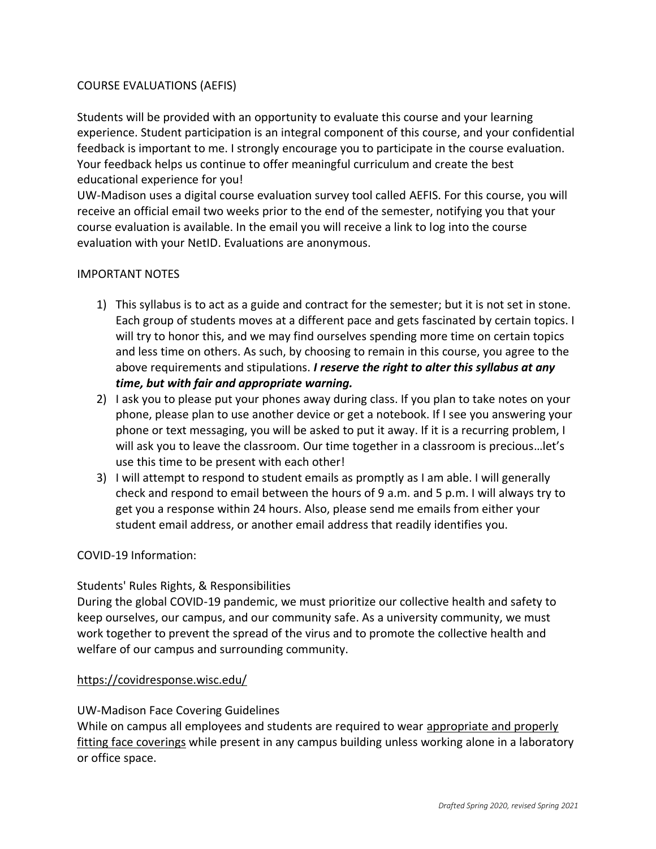### COURSE EVALUATIONS (AEFIS)

Students will be provided with an opportunity to evaluate this course and your learning experience. Student participation is an integral component of this course, and your confidential feedback is important to me. I strongly encourage you to participate in the course evaluation. Your feedback helps us continue to offer meaningful curriculum and create the best educational experience for you!

UW-Madison uses a digital course evaluation survey tool called [AEFIS.](https://kb.wisc.edu/luwmad/page.php?id=81069) For this course, you will receive an official email two weeks prior to the end of the semester, notifying you that your course evaluation is available. In the email you will receive a link to log into the course evaluation with your NetID. Evaluations are anonymous.

### IMPORTANT NOTES

- 1) This syllabus is to act as a guide and contract for the semester; but it is not set in stone. Each group of students moves at a different pace and gets fascinated by certain topics. I will try to honor this, and we may find ourselves spending more time on certain topics and less time on others. As such, by choosing to remain in this course, you agree to the above requirements and stipulations. *I reserve the right to alter this syllabus at any time, but with fair and appropriate warning.*
- 2) I ask you to please put your phones away during class. If you plan to take notes on your phone, please plan to use another device or get a notebook. If I see you answering your phone or text messaging, you will be asked to put it away. If it is a recurring problem, I will ask you to leave the classroom. Our time together in a classroom is precious…let's use this time to be present with each other!
- 3) I will attempt to respond to student emails as promptly as I am able. I will generally check and respond to email between the hours of 9 a.m. and 5 p.m. I will always try to get you a response within 24 hours. Also, please send me emails from either your student email address, or another email address that readily identifies you.

### COVID-19 Information:

## Students' Rules [Rights, & Responsibilities](https://guide.wisc.edu/undergraduate/#rulesrightsandresponsibilitiestext)

During the global COVID-19 pandemic, we must prioritize our collective health and safety to keep ourselves, our campus, and our community safe. As a university community, we must work together to prevent the spread of the virus and to promote the collective health and welfare of our campus and surrounding community.

### <https://covidresponse.wisc.edu/>

### UW-Madison [Face Covering Guidelines](https://d1cjb8q1w2lzm7.cloudfront.net/wp-content/uploads/sites/22/2020/06/Cloth-face-cover-guidance-06-22-20-final.pdf)

While on campus all employees and students are required to wear [appropriate and properly](https://www.cdc.gov/coronavirus/2019-ncov/prevent-getting-sick/how-to-wear-cloth-face-coverings.html)  [fitting face coverings](https://www.cdc.gov/coronavirus/2019-ncov/prevent-getting-sick/how-to-wear-cloth-face-coverings.html) while present in any campus building unless working alone in a laboratory or office space.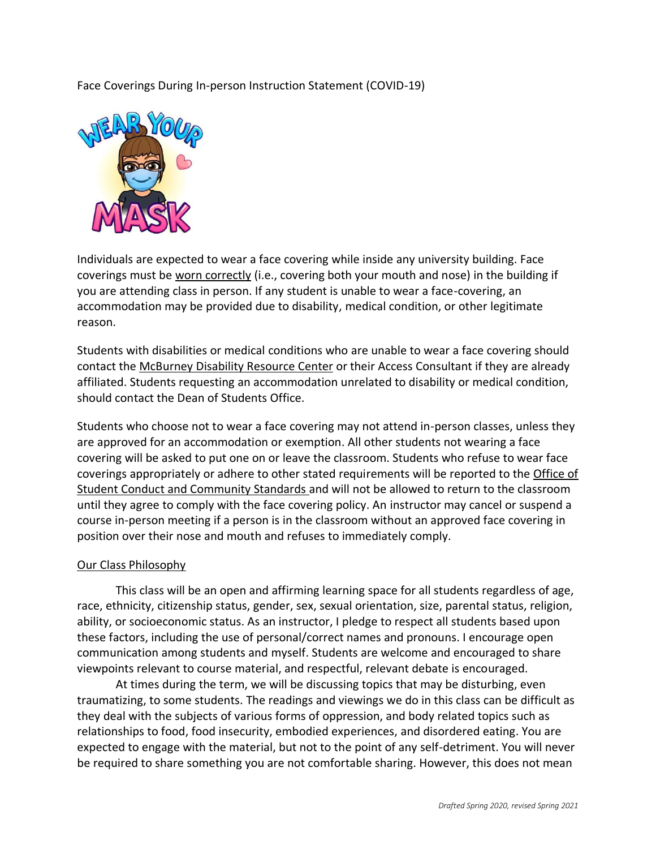Face Coverings During In-person Instruction Statement (COVID-19)



Individuals are expected to wear a face covering while inside any university building. Face coverings must be [worn correctly](https://www.cdc.gov/coronavirus/2019-ncov/prevent-getting-sick/how-to-wear-cloth-face-coverings.html) (i.e., covering both your mouth and nose) in the building if you are attending class in person. If any student is unable to wear a face-covering, an accommodation may be provided due to disability, medical condition, or other legitimate reason.

Students with disabilities or medical conditions who are unable to wear a face covering should contact the [McBurney Disability Resource Center](https://mcburney.wisc.edu/) or their Access Consultant if they are already affiliated. Students requesting an accommodation unrelated to disability or medical condition, should contact the Dean of Students Office.

Students who choose not to wear a face covering may not attend in-person classes, unless they are approved for an accommodation or exemption. All other students not wearing a face covering will be asked to put one on or leave the classroom. Students who refuse to wear face coverings appropriately or adhere to other stated requirements will be reported to the [Office of](https://conduct.students.wisc.edu/)  [Student Conduct and Community Standards](https://conduct.students.wisc.edu/) and will not be allowed to return to the classroom until they agree to comply with the face covering policy. An instructor may cancel or suspend a course in-person meeting if a person is in the classroom without an approved face covering in position over their nose and mouth and refuses to immediately comply.

#### Our Class Philosophy

This class will be an open and affirming learning space for all students regardless of age, race, ethnicity, citizenship status, gender, sex, sexual orientation, size, parental status, religion, ability, or socioeconomic status. As an instructor, I pledge to respect all students based upon these factors, including the use of personal/correct names and pronouns. I encourage open communication among students and myself. Students are welcome and encouraged to share viewpoints relevant to course material, and respectful, relevant debate is encouraged.

At times during the term, we will be discussing topics that may be disturbing, even traumatizing, to some students. The readings and viewings we do in this class can be difficult as they deal with the subjects of various forms of oppression, and body related topics such as relationships to food, food insecurity, embodied experiences, and disordered eating. You are expected to engage with the material, but not to the point of any self-detriment. You will never be required to share something you are not comfortable sharing. However, this does not mean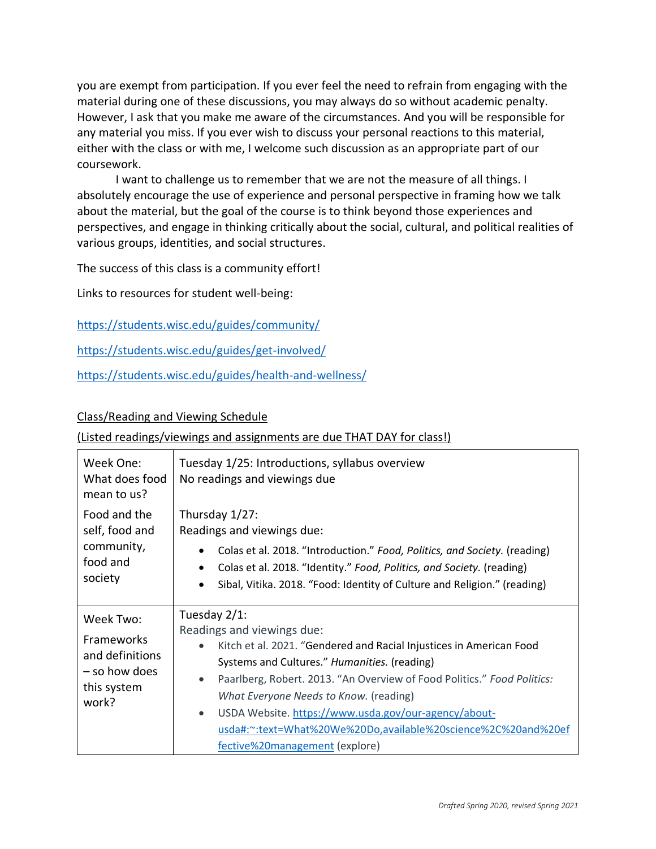you are exempt from participation. If you ever feel the need to refrain from engaging with the material during one of these discussions, you may always do so without academic penalty. However, I ask that you make me aware of the circumstances. And you will be responsible for any material you miss. If you ever wish to discuss your personal reactions to this material, either with the class or with me, I welcome such discussion as an appropriate part of our coursework.

I want to challenge us to remember that we are not the measure of all things. I absolutely encourage the use of experience and personal perspective in framing how we talk about the material, but the goal of the course is to think beyond those experiences and perspectives, and engage in thinking critically about the social, cultural, and political realities of various groups, identities, and social structures.

The success of this class is a community effort!

Links to resources for student well-being:

<https://students.wisc.edu/guides/community/>

<https://students.wisc.edu/guides/get-involved/>

<https://students.wisc.edu/guides/health-and-wellness/>

### Class/Reading and Viewing Schedule

### (Listed readings/viewings and assignments are due THAT DAY for class!)

| Week One:<br>What does food<br>mean to us?                                          | Tuesday 1/25: Introductions, syllabus overview<br>No readings and viewings due                                                                                                                                                                                                                                                                                                                                                                                                           |
|-------------------------------------------------------------------------------------|------------------------------------------------------------------------------------------------------------------------------------------------------------------------------------------------------------------------------------------------------------------------------------------------------------------------------------------------------------------------------------------------------------------------------------------------------------------------------------------|
| Food and the<br>self, food and<br>community,<br>food and<br>society                 | Thursday $1/27$ :<br>Readings and viewings due:<br>Colas et al. 2018. "Introduction." Food, Politics, and Society. (reading)<br>$\bullet$<br>Colas et al. 2018. "Identity." Food, Politics, and Society. (reading)<br>$\bullet$<br>Sibal, Vitika. 2018. "Food: Identity of Culture and Religion." (reading)<br>$\bullet$                                                                                                                                                                 |
| Week Two:<br>Frameworks<br>and definitions<br>- so how does<br>this system<br>work? | Tuesday 2/1:<br>Readings and viewings due:<br>Kitch et al. 2021. "Gendered and Racial Injustices in American Food<br>$\bullet$<br>Systems and Cultures." Humanities. (reading)<br>Paarlberg, Robert. 2013. "An Overview of Food Politics." Food Politics:<br>$\bullet$<br>What Everyone Needs to Know. (reading)<br>USDA Website. https://www.usda.gov/our-agency/about-<br>$\bullet$<br>usda#:~:text=What%20We%20Do,available%20science%2C%20and%20ef<br>fective%20management (explore) |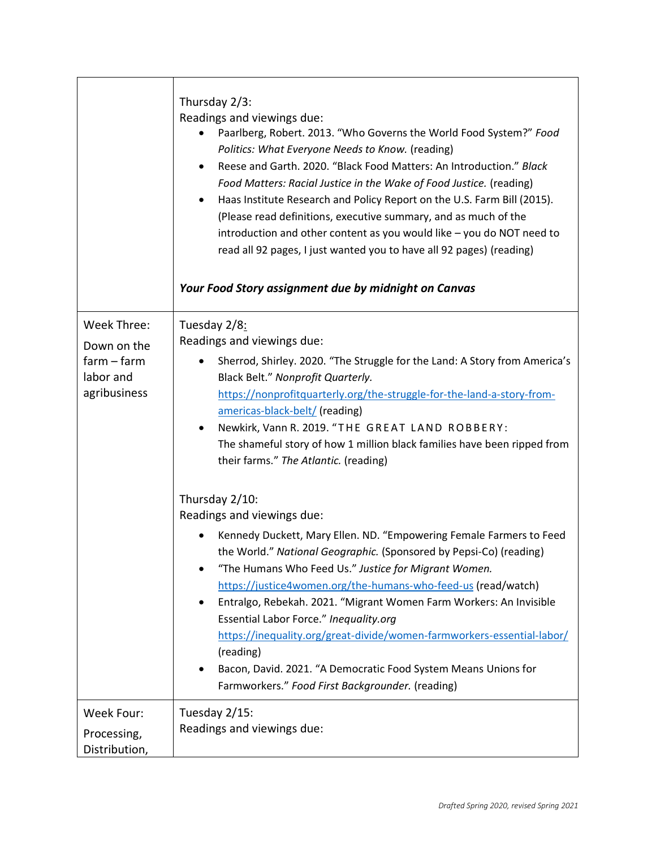|               | Thursday 2/3:<br>Readings and viewings due:<br>Paarlberg, Robert. 2013. "Who Governs the World Food System?" Food<br>Politics: What Everyone Needs to Know. (reading)<br>Reese and Garth. 2020. "Black Food Matters: An Introduction." Black<br>٠<br>Food Matters: Racial Justice in the Wake of Food Justice. (reading)<br>Haas Institute Research and Policy Report on the U.S. Farm Bill (2015).<br>$\bullet$<br>(Please read definitions, executive summary, and as much of the<br>introduction and other content as you would like - you do NOT need to<br>read all 92 pages, I just wanted you to have all 92 pages) (reading)<br>Your Food Story assignment due by midnight on Canvas |
|---------------|----------------------------------------------------------------------------------------------------------------------------------------------------------------------------------------------------------------------------------------------------------------------------------------------------------------------------------------------------------------------------------------------------------------------------------------------------------------------------------------------------------------------------------------------------------------------------------------------------------------------------------------------------------------------------------------------|
| Week Three:   | Tuesday 2/8:                                                                                                                                                                                                                                                                                                                                                                                                                                                                                                                                                                                                                                                                                 |
| Down on the   | Readings and viewings due:                                                                                                                                                                                                                                                                                                                                                                                                                                                                                                                                                                                                                                                                   |
| $farm - farm$ | Sherrod, Shirley. 2020. "The Struggle for the Land: A Story from America's<br>$\bullet$                                                                                                                                                                                                                                                                                                                                                                                                                                                                                                                                                                                                      |
| labor and     | Black Belt." Nonprofit Quarterly.                                                                                                                                                                                                                                                                                                                                                                                                                                                                                                                                                                                                                                                            |
| agribusiness  | https://nonprofitquarterly.org/the-struggle-for-the-land-a-story-from-                                                                                                                                                                                                                                                                                                                                                                                                                                                                                                                                                                                                                       |
|               | americas-black-belt/ (reading)                                                                                                                                                                                                                                                                                                                                                                                                                                                                                                                                                                                                                                                               |
|               | Newkirk, Vann R. 2019. "THE GREAT LAND ROBBERY:<br>$\bullet$                                                                                                                                                                                                                                                                                                                                                                                                                                                                                                                                                                                                                                 |
|               | The shameful story of how 1 million black families have been ripped from<br>their farms." The Atlantic. (reading)                                                                                                                                                                                                                                                                                                                                                                                                                                                                                                                                                                            |
|               |                                                                                                                                                                                                                                                                                                                                                                                                                                                                                                                                                                                                                                                                                              |
|               | Thursday 2/10:                                                                                                                                                                                                                                                                                                                                                                                                                                                                                                                                                                                                                                                                               |
|               | Readings and viewings due:                                                                                                                                                                                                                                                                                                                                                                                                                                                                                                                                                                                                                                                                   |
|               | Kennedy Duckett, Mary Ellen. ND. "Empowering Female Farmers to Feed                                                                                                                                                                                                                                                                                                                                                                                                                                                                                                                                                                                                                          |
|               | the World." National Geographic. (Sponsored by Pepsi-Co) (reading)                                                                                                                                                                                                                                                                                                                                                                                                                                                                                                                                                                                                                           |
|               | "The Humans Who Feed Us." Justice for Migrant Women.                                                                                                                                                                                                                                                                                                                                                                                                                                                                                                                                                                                                                                         |
|               | https://justice4women.org/the-humans-who-feed-us (read/watch)                                                                                                                                                                                                                                                                                                                                                                                                                                                                                                                                                                                                                                |
|               | Entralgo, Rebekah. 2021. "Migrant Women Farm Workers: An Invisible                                                                                                                                                                                                                                                                                                                                                                                                                                                                                                                                                                                                                           |
|               | Essential Labor Force." Inequality.org                                                                                                                                                                                                                                                                                                                                                                                                                                                                                                                                                                                                                                                       |
|               | https://inequality.org/great-divide/women-farmworkers-essential-labor/                                                                                                                                                                                                                                                                                                                                                                                                                                                                                                                                                                                                                       |
|               | (reading)<br>Bacon, David. 2021. "A Democratic Food System Means Unions for                                                                                                                                                                                                                                                                                                                                                                                                                                                                                                                                                                                                                  |
|               | Farmworkers." Food First Backgrounder. (reading)                                                                                                                                                                                                                                                                                                                                                                                                                                                                                                                                                                                                                                             |
|               |                                                                                                                                                                                                                                                                                                                                                                                                                                                                                                                                                                                                                                                                                              |
| Week Four:    | Tuesday 2/15:                                                                                                                                                                                                                                                                                                                                                                                                                                                                                                                                                                                                                                                                                |
| Processing,   | Readings and viewings due:                                                                                                                                                                                                                                                                                                                                                                                                                                                                                                                                                                                                                                                                   |
| Distribution, |                                                                                                                                                                                                                                                                                                                                                                                                                                                                                                                                                                                                                                                                                              |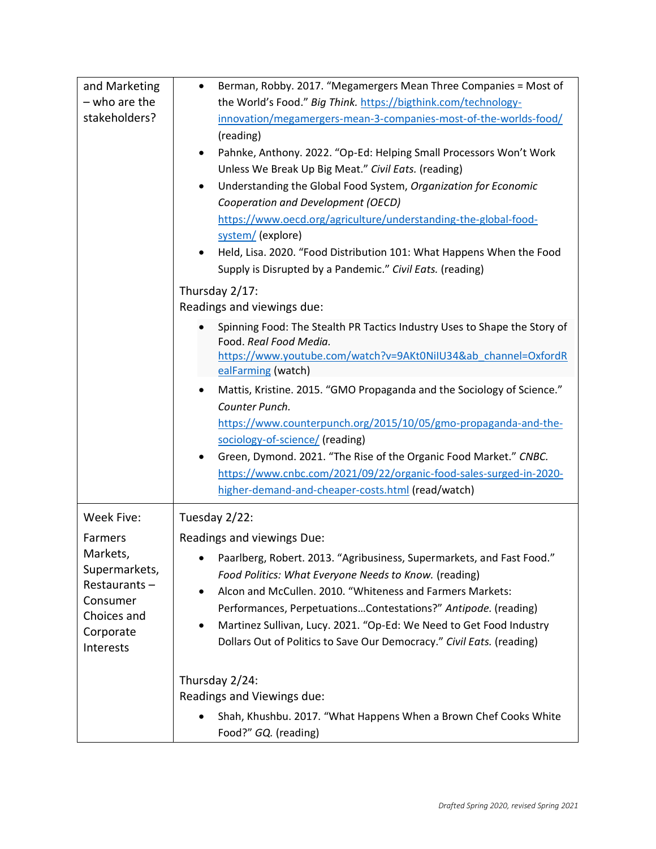| and Marketing<br>- who are the<br>stakeholders?                                                                         | Berman, Robby. 2017. "Megamergers Mean Three Companies = Most of<br>$\bullet$<br>the World's Food." Big Think. https://bigthink.com/technology-<br>innovation/megamergers-mean-3-companies-most-of-the-worlds-food/<br>(reading)<br>Pahnke, Anthony. 2022. "Op-Ed: Helping Small Processors Won't Work<br>$\bullet$<br>Unless We Break Up Big Meat." Civil Eats. (reading)<br>Understanding the Global Food System, Organization for Economic<br>$\bullet$<br>Cooperation and Development (OECD)<br>https://www.oecd.org/agriculture/understanding-the-global-food-<br>system/ (explore)<br>Held, Lisa. 2020. "Food Distribution 101: What Happens When the Food<br>$\bullet$<br>Supply is Disrupted by a Pandemic." Civil Eats. (reading)<br>Thursday 2/17: |
|-------------------------------------------------------------------------------------------------------------------------|--------------------------------------------------------------------------------------------------------------------------------------------------------------------------------------------------------------------------------------------------------------------------------------------------------------------------------------------------------------------------------------------------------------------------------------------------------------------------------------------------------------------------------------------------------------------------------------------------------------------------------------------------------------------------------------------------------------------------------------------------------------|
|                                                                                                                         | Readings and viewings due:<br>Spinning Food: The Stealth PR Tactics Industry Uses to Shape the Story of<br>Food. Real Food Media.<br>https://www.youtube.com/watch?v=9AKt0NiIU34&ab_channel=OxfordR<br>ealFarming (watch)<br>Mattis, Kristine. 2015. "GMO Propaganda and the Sociology of Science."<br>Counter Punch.<br>https://www.counterpunch.org/2015/10/05/gmo-propaganda-and-the-<br>sociology-of-science/ (reading)<br>Green, Dymond. 2021. "The Rise of the Organic Food Market." CNBC.<br>$\bullet$<br>https://www.cnbc.com/2021/09/22/organic-food-sales-surged-in-2020-<br>higher-demand-and-cheaper-costs.html (read/watch)                                                                                                                     |
| Week Five:<br>Farmers<br>Markets,<br>Supermarkets,<br>Restaurants-<br>Consumer<br>Choices and<br>Corporate<br>Interests | Tuesday 2/22:<br>Readings and viewings Due:<br>Paarlberg, Robert. 2013. "Agribusiness, Supermarkets, and Fast Food."<br>Food Politics: What Everyone Needs to Know. (reading)<br>Alcon and McCullen. 2010. "Whiteness and Farmers Markets:<br>$\bullet$<br>Performances, PerpetuationsContestations?" Antipode. (reading)<br>Martinez Sullivan, Lucy. 2021. "Op-Ed: We Need to Get Food Industry<br>$\bullet$<br>Dollars Out of Politics to Save Our Democracy." Civil Eats. (reading)                                                                                                                                                                                                                                                                       |
|                                                                                                                         | Thursday 2/24:<br>Readings and Viewings due:<br>Shah, Khushbu. 2017. "What Happens When a Brown Chef Cooks White<br>Food?" GQ. (reading)                                                                                                                                                                                                                                                                                                                                                                                                                                                                                                                                                                                                                     |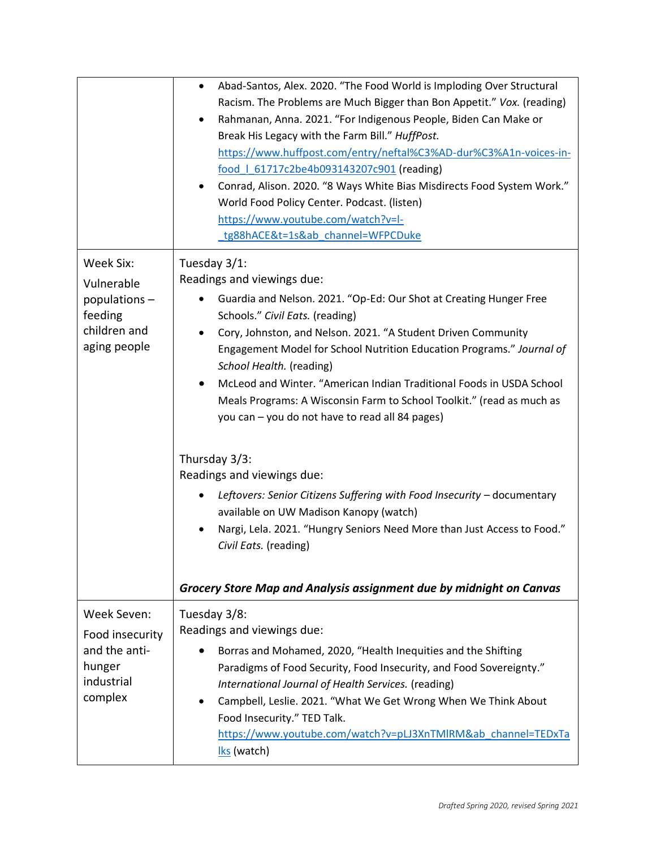|                                                                                       | Abad-Santos, Alex. 2020. "The Food World is Imploding Over Structural<br>$\bullet$<br>Racism. The Problems are Much Bigger than Bon Appetit." Vox. (reading)<br>Rahmanan, Anna. 2021. "For Indigenous People, Biden Can Make or<br>$\bullet$<br>Break His Legacy with the Farm Bill." HuffPost.<br>https://www.huffpost.com/entry/neftal%C3%AD-dur%C3%A1n-voices-in-<br>food   61717c2be4b093143207c901 (reading)<br>Conrad, Alison. 2020. "8 Ways White Bias Misdirects Food System Work."<br>٠<br>World Food Policy Center. Podcast. (listen)<br>https://www.youtube.com/watch?v=I-<br>tg88hACE&t=1s&ab channel=WFPCDuke                                                                                                                                                                                                                                                                                  |
|---------------------------------------------------------------------------------------|-------------------------------------------------------------------------------------------------------------------------------------------------------------------------------------------------------------------------------------------------------------------------------------------------------------------------------------------------------------------------------------------------------------------------------------------------------------------------------------------------------------------------------------------------------------------------------------------------------------------------------------------------------------------------------------------------------------------------------------------------------------------------------------------------------------------------------------------------------------------------------------------------------------|
| Week Six:<br>Vulnerable<br>populations $-$<br>feeding<br>children and<br>aging people | Tuesday 3/1:<br>Readings and viewings due:<br>Guardia and Nelson. 2021. "Op-Ed: Our Shot at Creating Hunger Free<br>$\bullet$<br>Schools." Civil Eats. (reading)<br>Cory, Johnston, and Nelson. 2021. "A Student Driven Community<br>Engagement Model for School Nutrition Education Programs." Journal of<br>School Health. (reading)<br>McLeod and Winter. "American Indian Traditional Foods in USDA School<br>$\bullet$<br>Meals Programs: A Wisconsin Farm to School Toolkit." (read as much as<br>you can - you do not have to read all 84 pages)<br>Thursday 3/3:<br>Readings and viewings due:<br>Leftovers: Senior Citizens Suffering with Food Insecurity - documentary<br>٠<br>available on UW Madison Kanopy (watch)<br>Nargi, Lela. 2021. "Hungry Seniors Need More than Just Access to Food."<br>Civil Eats. (reading)<br>Grocery Store Map and Analysis assignment due by midnight on Canvas |
| Week Seven:<br>Food insecurity<br>and the anti-<br>hunger<br>industrial<br>complex    | Tuesday 3/8:<br>Readings and viewings due:<br>Borras and Mohamed, 2020, "Health Inequities and the Shifting<br>Paradigms of Food Security, Food Insecurity, and Food Sovereignty."<br>International Journal of Health Services. (reading)<br>Campbell, Leslie. 2021. "What We Get Wrong When We Think About<br>Food Insecurity." TED Talk.<br>https://www.youtube.com/watch?v=pLJ3XnTMlRM&ab channel=TEDxTa<br>Iks (watch)                                                                                                                                                                                                                                                                                                                                                                                                                                                                                  |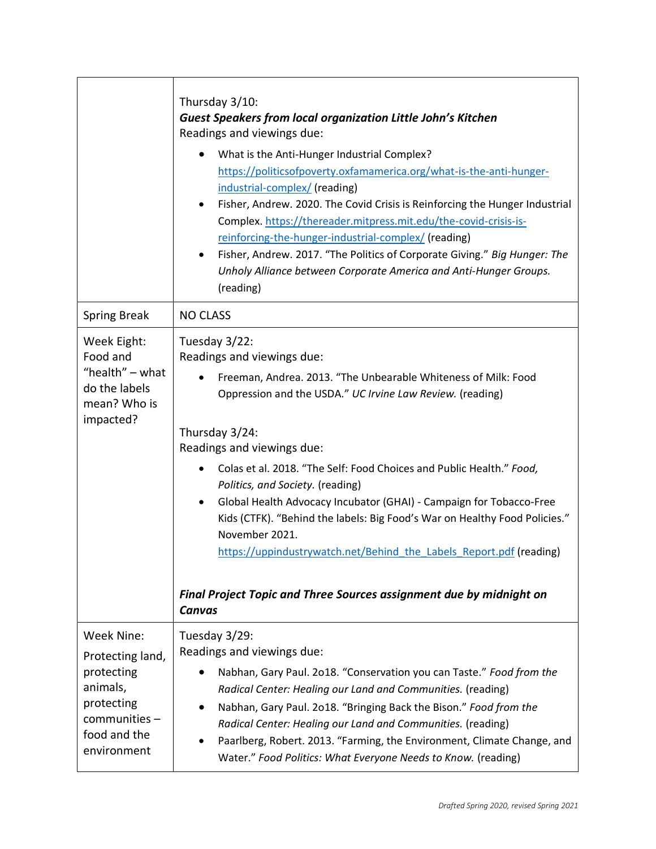|                                                                                                                             | Thursday 3/10:<br><b>Guest Speakers from local organization Little John's Kitchen</b><br>Readings and viewings due:<br>What is the Anti-Hunger Industrial Complex?<br>https://politicsofpoverty.oxfamamerica.org/what-is-the-anti-hunger-<br>industrial-complex/ (reading)<br>Fisher, Andrew. 2020. The Covid Crisis is Reinforcing the Hunger Industrial<br>٠<br>Complex. https://thereader.mitpress.mit.edu/the-covid-crisis-is-<br>reinforcing-the-hunger-industrial-complex/ (reading)<br>Fisher, Andrew. 2017. "The Politics of Corporate Giving." Big Hunger: The<br>$\bullet$<br>Unholy Alliance between Corporate America and Anti-Hunger Groups.<br>(reading)                                 |
|-----------------------------------------------------------------------------------------------------------------------------|--------------------------------------------------------------------------------------------------------------------------------------------------------------------------------------------------------------------------------------------------------------------------------------------------------------------------------------------------------------------------------------------------------------------------------------------------------------------------------------------------------------------------------------------------------------------------------------------------------------------------------------------------------------------------------------------------------|
| <b>Spring Break</b>                                                                                                         | <b>NO CLASS</b>                                                                                                                                                                                                                                                                                                                                                                                                                                                                                                                                                                                                                                                                                        |
| Week Eight:<br>Food and<br>"health" $-$ what<br>do the labels<br>mean? Who is<br>impacted?                                  | Tuesday 3/22:<br>Readings and viewings due:<br>Freeman, Andrea. 2013. "The Unbearable Whiteness of Milk: Food<br>Oppression and the USDA." UC Irvine Law Review. (reading)<br>Thursday 3/24:<br>Readings and viewings due:<br>Colas et al. 2018. "The Self: Food Choices and Public Health." Food,<br>$\bullet$<br>Politics, and Society. (reading)<br>Global Health Advocacy Incubator (GHAI) - Campaign for Tobacco-Free<br>$\bullet$<br>Kids (CTFK). "Behind the labels: Big Food's War on Healthy Food Policies."<br>November 2021.<br>https://uppindustrywatch.net/Behind the Labels Report.pdf (reading)<br>Final Project Topic and Three Sources assignment due by midnight on<br><b>Canvas</b> |
| Week Nine:<br>Protecting land,<br>protecting<br>animals,<br>protecting<br>$comm$ unities $-$<br>food and the<br>environment | Tuesday 3/29:<br>Readings and viewings due:<br>Nabhan, Gary Paul. 2018. "Conservation you can Taste." Food from the<br>$\bullet$<br>Radical Center: Healing our Land and Communities. (reading)<br>Nabhan, Gary Paul. 2018. "Bringing Back the Bison." Food from the<br>Radical Center: Healing our Land and Communities. (reading)<br>Paarlberg, Robert. 2013. "Farming, the Environment, Climate Change, and<br>Water." Food Politics: What Everyone Needs to Know. (reading)                                                                                                                                                                                                                        |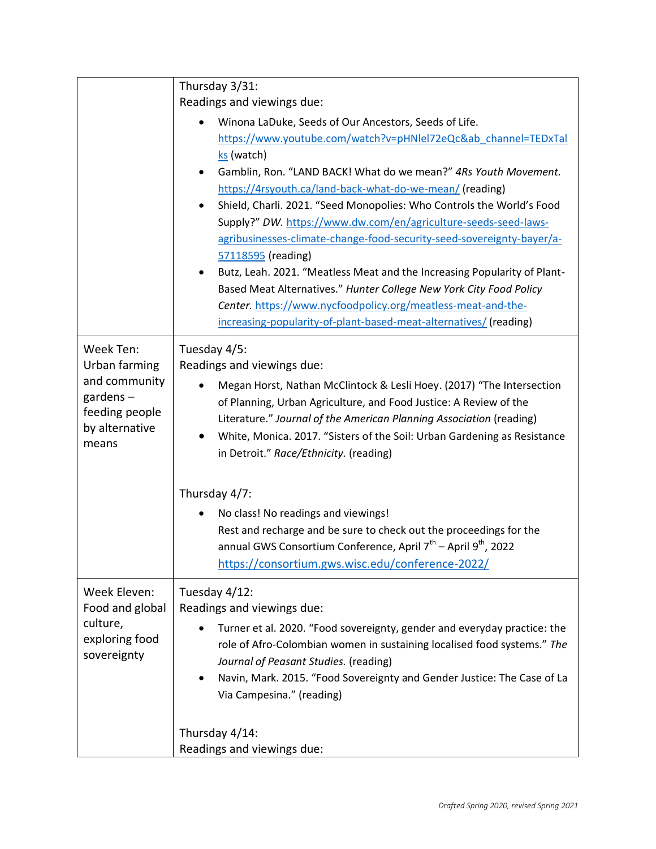|                                                                                                         | Thursday 3/31:<br>Readings and viewings due:                                                                                                                                                                                                                                                                                                                                                                                                                                                                                                                                                                                                                                                                                                                                                                                                       |
|---------------------------------------------------------------------------------------------------------|----------------------------------------------------------------------------------------------------------------------------------------------------------------------------------------------------------------------------------------------------------------------------------------------------------------------------------------------------------------------------------------------------------------------------------------------------------------------------------------------------------------------------------------------------------------------------------------------------------------------------------------------------------------------------------------------------------------------------------------------------------------------------------------------------------------------------------------------------|
|                                                                                                         | Winona LaDuke, Seeds of Our Ancestors, Seeds of Life.<br>٠<br>https://www.youtube.com/watch?v=pHNlel72eQc&ab channel=TEDxTal<br>ks (watch)<br>Gamblin, Ron. "LAND BACK! What do we mean?" 4Rs Youth Movement.<br>$\bullet$<br>https://4rsyouth.ca/land-back-what-do-we-mean/ (reading)<br>Shield, Charli. 2021. "Seed Monopolies: Who Controls the World's Food<br>$\bullet$<br>Supply?" DW. https://www.dw.com/en/agriculture-seeds-seed-laws-<br>agribusinesses-climate-change-food-security-seed-sovereignty-bayer/a-<br>57118595 (reading)<br>Butz, Leah. 2021. "Meatless Meat and the Increasing Popularity of Plant-<br>$\bullet$<br>Based Meat Alternatives." Hunter College New York City Food Policy<br>Center. https://www.nycfoodpolicy.org/meatless-meat-and-the-<br>increasing-popularity-of-plant-based-meat-alternatives/ (reading) |
| Week Ten:<br>Urban farming<br>and community<br>gardens $-$<br>feeding people<br>by alternative<br>means | Tuesday 4/5:<br>Readings and viewings due:<br>Megan Horst, Nathan McClintock & Lesli Hoey. (2017) "The Intersection<br>of Planning, Urban Agriculture, and Food Justice: A Review of the<br>Literature." Journal of the American Planning Association (reading)<br>White, Monica. 2017. "Sisters of the Soil: Urban Gardening as Resistance<br>٠<br>in Detroit." Race/Ethnicity. (reading)                                                                                                                                                                                                                                                                                                                                                                                                                                                         |
|                                                                                                         | Thursday 4/7:                                                                                                                                                                                                                                                                                                                                                                                                                                                                                                                                                                                                                                                                                                                                                                                                                                      |
|                                                                                                         | No class! No readings and viewings!<br>$\bullet$<br>Rest and recharge and be sure to check out the proceedings for the<br>annual GWS Consortium Conference, April 7 <sup>th</sup> – April 9 <sup>th</sup> , 2022<br>https://consortium.gws.wisc.edu/conference-2022/                                                                                                                                                                                                                                                                                                                                                                                                                                                                                                                                                                               |
| Week Eleven:<br>Food and global<br>culture,<br>exploring food<br>sovereignty                            | Tuesday 4/12:<br>Readings and viewings due:<br>Turner et al. 2020. "Food sovereignty, gender and everyday practice: the<br>role of Afro-Colombian women in sustaining localised food systems." The<br>Journal of Peasant Studies. (reading)<br>Navin, Mark. 2015. "Food Sovereignty and Gender Justice: The Case of La<br>٠<br>Via Campesina." (reading)                                                                                                                                                                                                                                                                                                                                                                                                                                                                                           |
|                                                                                                         | Thursday 4/14:<br>Readings and viewings due:                                                                                                                                                                                                                                                                                                                                                                                                                                                                                                                                                                                                                                                                                                                                                                                                       |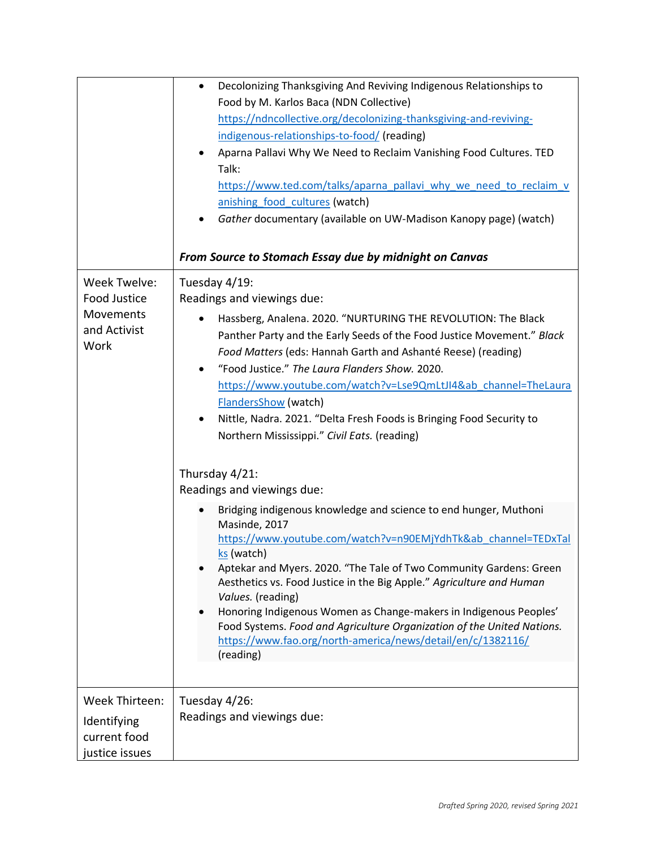|                                                                   | Decolonizing Thanksgiving And Reviving Indigenous Relationships to<br>$\bullet$<br>Food by M. Karlos Baca (NDN Collective)<br>https://ndncollective.org/decolonizing-thanksgiving-and-reviving-<br>indigenous-relationships-to-food/ (reading)<br>Aparna Pallavi Why We Need to Reclaim Vanishing Food Cultures. TED<br>Talk:<br>https://www.ted.com/talks/aparna_pallavi_why_we_need_to_reclaim_v<br>anishing food cultures (watch)<br>Gather documentary (available on UW-Madison Kanopy page) (watch)<br>٠<br>From Source to Stomach Essay due by midnight on Canvas                                                                                                                                                                                                                                                                                                                                                                                                                                                                                                                                                                                                                      |
|-------------------------------------------------------------------|----------------------------------------------------------------------------------------------------------------------------------------------------------------------------------------------------------------------------------------------------------------------------------------------------------------------------------------------------------------------------------------------------------------------------------------------------------------------------------------------------------------------------------------------------------------------------------------------------------------------------------------------------------------------------------------------------------------------------------------------------------------------------------------------------------------------------------------------------------------------------------------------------------------------------------------------------------------------------------------------------------------------------------------------------------------------------------------------------------------------------------------------------------------------------------------------|
| Week Twelve:<br>Food Justice<br>Movements<br>and Activist<br>Work | Tuesday 4/19:<br>Readings and viewings due:<br>Hassberg, Analena. 2020. "NURTURING THE REVOLUTION: The Black<br>$\bullet$<br>Panther Party and the Early Seeds of the Food Justice Movement." Black<br>Food Matters (eds: Hannah Garth and Ashanté Reese) (reading)<br>"Food Justice." The Laura Flanders Show. 2020.<br>$\bullet$<br>https://www.youtube.com/watch?v=Lse9QmLtJI4&ab_channel=TheLaura<br><b>FlandersShow (watch)</b><br>Nittle, Nadra. 2021. "Delta Fresh Foods is Bringing Food Security to<br>$\bullet$<br>Northern Mississippi." Civil Eats. (reading)<br>Thursday 4/21:<br>Readings and viewings due:<br>Bridging indigenous knowledge and science to end hunger, Muthoni<br>Masinde, 2017<br>https://www.youtube.com/watch?v=n90EMjYdhTk&ab channel=TEDxTal<br>ks (watch)<br>Aptekar and Myers. 2020. "The Tale of Two Community Gardens: Green<br>Aesthetics vs. Food Justice in the Big Apple." Agriculture and Human<br>Values. (reading)<br>Honoring Indigenous Women as Change-makers in Indigenous Peoples'<br>Food Systems. Food and Agriculture Organization of the United Nations.<br>https://www.fao.org/north-america/news/detail/en/c/1382116/<br>(reading) |
| Week Thirteen:<br>Identifying<br>current food<br>justice issues   | Tuesday 4/26:<br>Readings and viewings due:                                                                                                                                                                                                                                                                                                                                                                                                                                                                                                                                                                                                                                                                                                                                                                                                                                                                                                                                                                                                                                                                                                                                                  |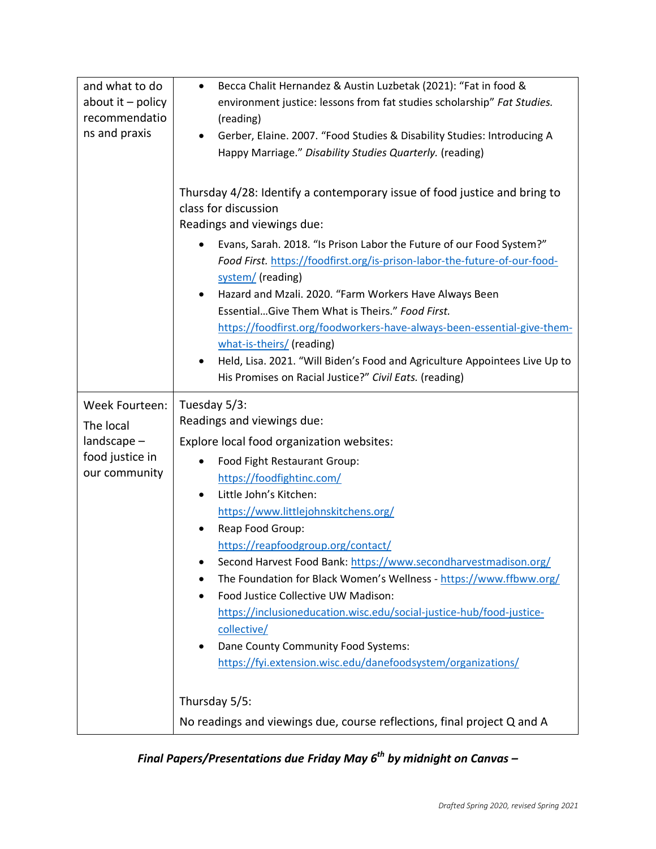| and what to do             | Becca Chalit Hernandez & Austin Luzbetak (2021): "Fat in food &<br>$\bullet$                                                          |
|----------------------------|---------------------------------------------------------------------------------------------------------------------------------------|
| about it $-$ policy        | environment justice: lessons from fat studies scholarship" Fat Studies.                                                               |
| recommendatio              | (reading)                                                                                                                             |
| ns and praxis              | Gerber, Elaine. 2007. "Food Studies & Disability Studies: Introducing A<br>٠                                                          |
|                            | Happy Marriage." Disability Studies Quarterly. (reading)                                                                              |
|                            |                                                                                                                                       |
|                            | Thursday 4/28: Identify a contemporary issue of food justice and bring to<br>class for discussion<br>Readings and viewings due:       |
|                            | Evans, Sarah. 2018. "Is Prison Labor the Future of our Food System?"<br>٠                                                             |
|                            | Food First. https://foodfirst.org/is-prison-labor-the-future-of-our-food-                                                             |
|                            | system/ (reading)                                                                                                                     |
|                            | Hazard and Mzali. 2020. "Farm Workers Have Always Been                                                                                |
|                            | EssentialGive Them What is Theirs." Food First.                                                                                       |
|                            | https://foodfirst.org/foodworkers-have-always-been-essential-give-them-                                                               |
|                            | what-is-theirs/ (reading)                                                                                                             |
|                            | Held, Lisa. 2021. "Will Biden's Food and Agriculture Appointees Live Up to<br>٠                                                       |
|                            | His Promises on Racial Justice?" Civil Eats. (reading)                                                                                |
| Week Fourteen:             | Tuesday 5/3:                                                                                                                          |
|                            | Readings and viewings due:                                                                                                            |
| The local<br>$land cape -$ | Explore local food organization websites:                                                                                             |
| food justice in            |                                                                                                                                       |
| our community              | Food Fight Restaurant Group:<br>$\bullet$                                                                                             |
|                            | https://foodfightinc.com/<br>Little John's Kitchen:                                                                                   |
|                            | $\bullet$                                                                                                                             |
|                            | https://www.littlejohnskitchens.org/                                                                                                  |
|                            | Reap Food Group:<br>$\bullet$                                                                                                         |
|                            | https://reapfoodgroup.org/contact/                                                                                                    |
|                            | Second Harvest Food Bank: https://www.secondharvestmadison.org/<br>The Foundation for Black Women's Wellness - https://www.ffbww.org/ |
|                            | Food Justice Collective UW Madison:                                                                                                   |
|                            | https://inclusioneducation.wisc.edu/social-justice-hub/food-justice-                                                                  |
|                            | collective/                                                                                                                           |
|                            | Dane County Community Food Systems:<br>٠                                                                                              |
|                            | https://fyi.extension.wisc.edu/danefoodsystem/organizations/                                                                          |
|                            |                                                                                                                                       |
|                            | Thursday 5/5:                                                                                                                         |
|                            |                                                                                                                                       |
|                            | No readings and viewings due, course reflections, final project Q and A                                                               |

*Final Papers/Presentations due Friday May 6th by midnight on Canvas –*